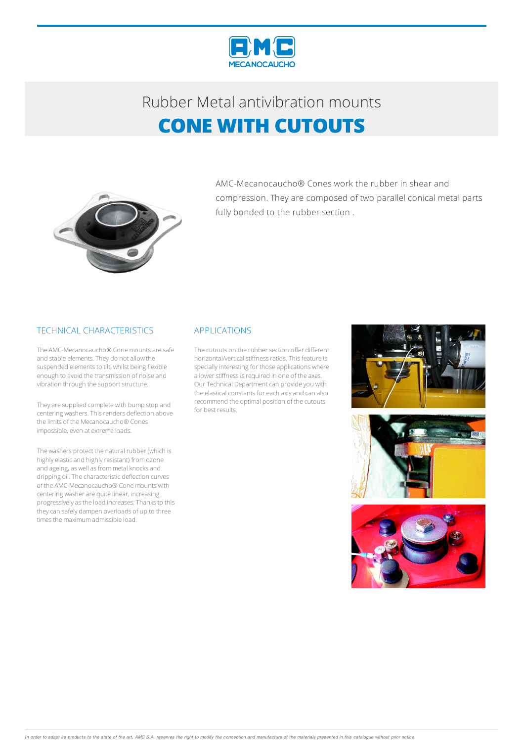

# Rubber Metalantivibration mounts **CONE WITH CUTOUTS**



AMC-Mecanocaucho® Cones work the rubber in shear and compression. They are composed of two parallel conical metal parts fully bonded to the rubber section .

#### TECHNICAL CHARACTERISTICS

The AMC-Mecanocaucho® Cone mounts are safe and stable elements. They do not allow the suspended elements to tilt, whilst being flexible enough to avoid the transmission of noise and vibration through the support structure.

They are supplied complete with bump stop and centering washers. This renders deflection above the limits of the Mecanocaucho® Cones impossible, even at extreme loads.

The washers protect the natural rubber (which is highly elastic and highly resistant) from ozone and ageing, as well as from metal knocks and dripping oil.The characteristic deflection curves of the AMC-Mecanocaucho® Conemounts with centering washer are quite linear, increasing progressivelyasthe load increases.Thanksto this theycan safely dampen overloads of up to three times the maximum admissible load.

#### APPLICATIONS

The cutouts on the rubber section offer different horizontal/vertical stiffness ratios. This feature is specially interesting for those applications where a lower stiffness is required in one of the axes. Our Technical Department can provide you with the elastical constants for each axis and can also recommend the optimal position of the cutouts for best results.





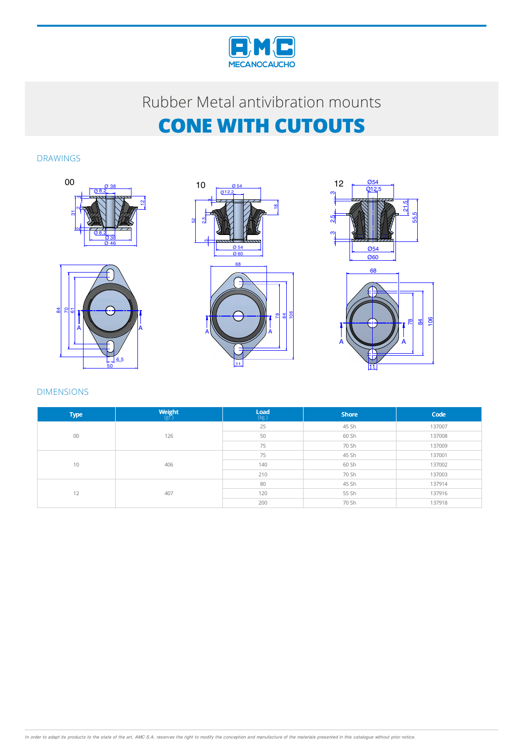

## Rubber Metalantivibration mounts **CONE WITH CUTOUTS**

#### DRAWINGS









#### DIMENSIONS

| <b>Type</b> | $\underset{\left(\mathrm{gr}\right)}{\mathsf{Weight}}% \underset{\left(\mathrm{gr}\right)}{\mathsf{Weight}}% \underset{\left(\mathrm{gr}\right)}{\mathsf{Matrix}}% \underset{\left(\mathrm{gr}\right)}{\mathsf{Matrix}}% \underset{\left(\mathrm{gr}\right)}{\mathsf{Matrix}}% \underset{\left(\mathrm{gr}\right)}{\mathsf{Matrix}}% \underset{\left(\mathrm{gr}\right)}{\mathsf{Matrix}}% \underset{\left(\mathrm{gr}\right)}{\mathsf{Matrix}}% \underset{\left(\mathrm{gr}\right)}{\mathsf{Matrix}}% \underset{\left(\mathrm{gr}\right)}{\mathsf{Matrix}}% \underset{\left(\mathrm{gr}\right)}{\mathsf{Matrix}}% \underset{\left(\mathrm{gr}\right$ | $\mathsf{Load}$<br>$(\mathsf{kg.})$ | <b>Shore</b> | Code   |
|-------------|-------------------------------------------------------------------------------------------------------------------------------------------------------------------------------------------------------------------------------------------------------------------------------------------------------------------------------------------------------------------------------------------------------------------------------------------------------------------------------------------------------------------------------------------------------------------------------------------------------------------------------------------------------|-------------------------------------|--------------|--------|
| 00          | 126                                                                                                                                                                                                                                                                                                                                                                                                                                                                                                                                                                                                                                                   | 25                                  | 45 Sh        | 137007 |
|             |                                                                                                                                                                                                                                                                                                                                                                                                                                                                                                                                                                                                                                                       | 50                                  | 60 Sh        | 137008 |
|             |                                                                                                                                                                                                                                                                                                                                                                                                                                                                                                                                                                                                                                                       | 75                                  | 70 Sh        | 137009 |
| 10          | 406                                                                                                                                                                                                                                                                                                                                                                                                                                                                                                                                                                                                                                                   | 75                                  | 45 Sh        | 137001 |
|             |                                                                                                                                                                                                                                                                                                                                                                                                                                                                                                                                                                                                                                                       | 140                                 | 60 Sh        | 137002 |
|             |                                                                                                                                                                                                                                                                                                                                                                                                                                                                                                                                                                                                                                                       | 210                                 | 70 Sh        | 137003 |
| 12          | 407                                                                                                                                                                                                                                                                                                                                                                                                                                                                                                                                                                                                                                                   | 80                                  | 45 Sh        | 137914 |
|             |                                                                                                                                                                                                                                                                                                                                                                                                                                                                                                                                                                                                                                                       | 120                                 | 55 Sh        | 137916 |
|             |                                                                                                                                                                                                                                                                                                                                                                                                                                                                                                                                                                                                                                                       | 200                                 | 70 Sh        | 137918 |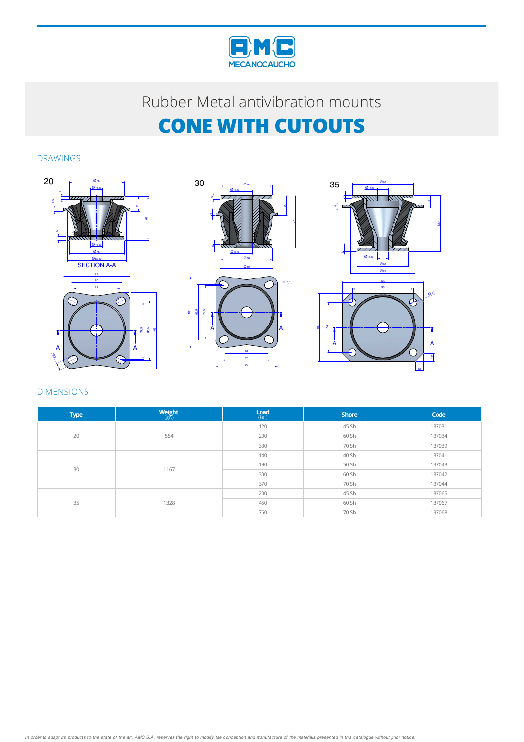

# Rubber Metalantivibration mounts **CONE WITH CUTOUTS**

### DRAWINGS







### DIMENSIONS

| <b>Type</b> | $\underset{\left(\mathbb{S} \Gamma\right)}{\text{Weight}}$ | $\underset{(\text{kg.})}{\text{Load}}$ | <b>Shore</b> | Code   |
|-------------|------------------------------------------------------------|----------------------------------------|--------------|--------|
| 20          | 554                                                        | 120                                    | 45 Sh        | 137031 |
|             |                                                            | 200                                    | 60 Sh        | 137034 |
|             |                                                            | 330                                    | 70 Sh        | 137039 |
| 30          | 1167                                                       | 140                                    | 40 Sh        | 137041 |
|             |                                                            | 190                                    | 50 Sh        | 137043 |
|             |                                                            | 300                                    | 60 Sh        | 137042 |
|             |                                                            | 370                                    | 70 Sh        | 137044 |
| 35          | 1328                                                       | 200                                    | 45 Sh        | 137065 |
|             |                                                            | 450                                    | 60 Sh        | 137067 |
|             |                                                            | 760                                    | 70 Sh        | 137068 |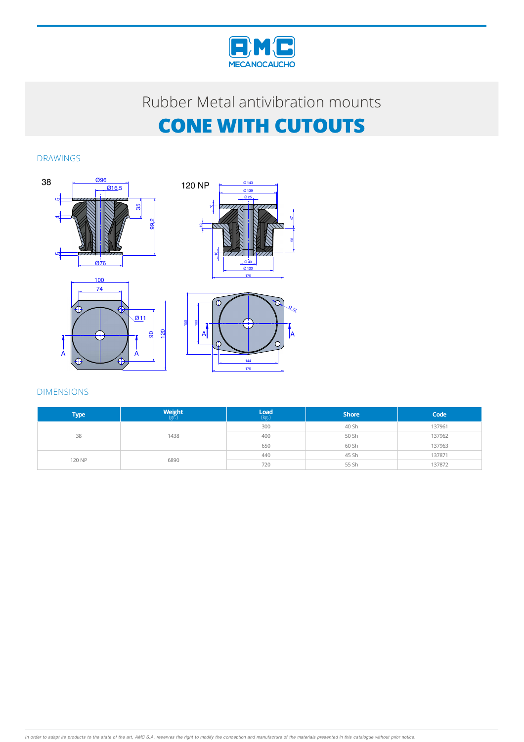

## Rubber Metal antivibration mounts **CONE WITH CUTOUTS**

### DRAWINGS







#### DIMENSIONS

| <b>Type</b> | <b>Weight</b><br>$(g\bar{r})$ | $\mathsf{Load}$<br>$(\mathsf{kg.})$ | <b>Shore</b> | Code   |
|-------------|-------------------------------|-------------------------------------|--------------|--------|
| 38          | 1438                          | 300                                 | 40 Sh        | 137961 |
|             |                               | 400                                 | 50 Sh        | 137962 |
|             |                               | 650                                 | 60 Sh        | 137963 |
| 120 NP      | 6890                          | 440                                 | 45 Sh        | 137871 |
|             |                               | 720                                 | 55 Sh        | 137872 |